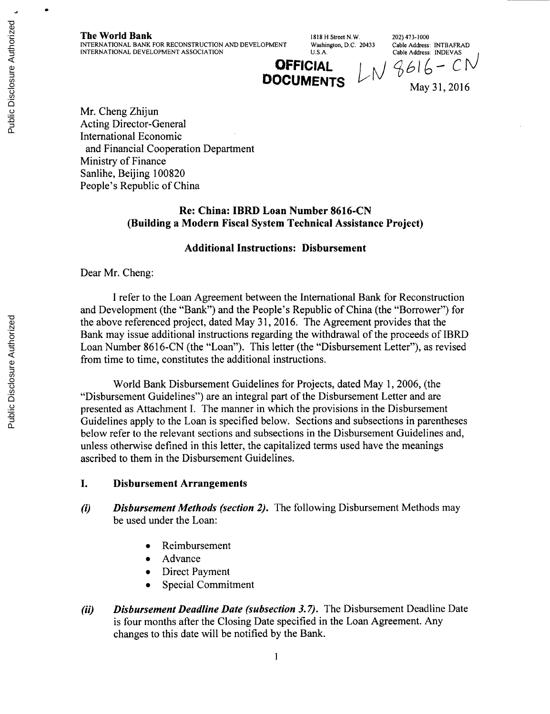**The World Bank** 1818 H Street N.W. 202) 473-1000<br>INTERNATIONAL BANK FOR RECONSTRUCTION AND DEVELOPMENT Washington, D.C. 20433 Cable Address: INTBAFRAD **INTERNATIONAL BANK FOR RECONSTRUCTION AND DEVELOPMENT** Washington, D.C. 20433 Cable Address: INTBAFRA<br>INTERNATIONAL DEVELOPMENT ASSOCIATION U.S.A. Cable Address: INDEVAS **INTERNATIONAL DEVELOPMENT ASSOCIATION** 

**OFFICIAL**  $LM9616 - CN$ **DOCUMENTS**  $\nu_1 \nu_2 \nu_3$  May 31, 2016

Mr. Cheng Zhijun Acting Director-General International Economic and Financial Cooperation Department Ministry of Finance Sanlihe, Beijing **100820** People's Republic of China

## **Re:** China: **IBRD Loan** Number **8616-CN** (Building a Modern Fiscal System **Technical** Assistance Project)

#### **Additional** Instructions: Disbursement

Dear Mr. Cheng:

**I** refer to the Loan Agreement between the International Bank for Reconstruction and Development (the "Bank") and the People's Republic of China (the "Borrower") for the above referenced project, dated May **31, 2016.** The Agreement provides that the Bank may issue additional instructions regarding the withdrawal of the proceeds of IBRD Loan Number **8616-CN** (the "Loan"). This letter (the "Disbursement Letter"), as revised from time to time, constitutes the additional instructions.

World Bank Disbursement Guidelines for Projects, dated May **1, 2006,** (the "Disbursement Guidelines") are an integral part of the Disbursement Letter and are presented as Attachment **I.** The manner in which the provisions in the Disbursement Guidelines apply to the Loan is specified below. Sections and subsections in parentheses below refer to the relevant sections and subsections in the Disbursement Guidelines and, unless otherwise defined in this letter, the capitalized terms used have the meanings ascribed to them in the Disbursement Guidelines.

#### **I.** Disbursement Arrangements

- *(i) Disbursement Methods (section 2).* The following Disbursement Methods may be used under the Loan:
	- **Reimbursement**
	- Advance
	- Direct Payment
	- Special Commitment
- *(ii) Disbursement Deadline Date (subsection 3.7).* The Disbursement Deadline Date is four months after the Closing Date specified in the Loan Agreement. Any changes to this date will be notified **by** the Bank.

Public Disclosure Authorized Public Disclosure Authorized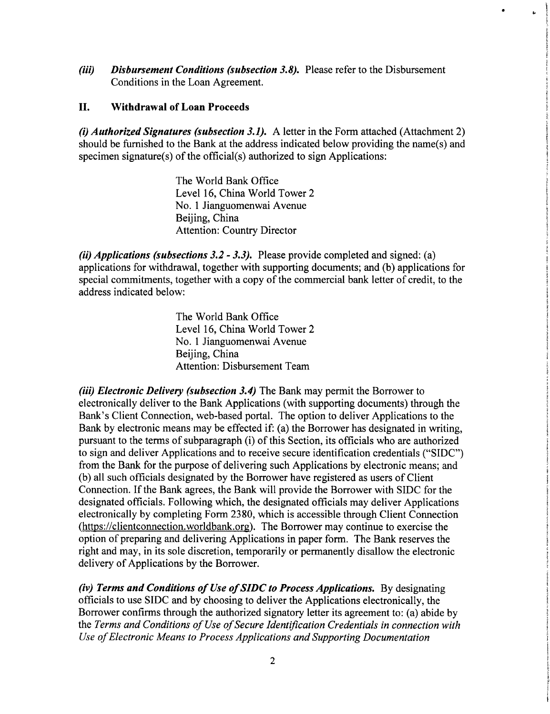*(iii) Disbursement Conditions (subsection 3.8).* Please refer to the Disbursement Conditions in the Loan Agreement.

### **II. Withdrawal of Loan Proceeds**

*(i) Authorized Signatures (subsection 3.1).* **A letter in the Form** attached (Attachment **2)** should be furnished to the Bank at the address indicated below providing the name(s) and specimen signature(s) of the official(s) authorized to sign Applications:

> The World Bank Office Level **16,** China World Tower 2 No. 1 Jianguomenwai Avenue Beijing, China Attention: Country Director

*(ii) Applications (subsections 3.2* **-** *3.3).* Please provide completed and signed: (a) applications for withdrawal, together with supporting documents; and **(b)** applications for special commitments, together with a copy of the commercial bank letter of credit, to the address indicated below:

> The World Bank Office Level **16,** China World Tower 2 No. 1 Jianguomenwai Avenue Beijing, China Attention: Disbursement Team

*(iii) Electronic Delivery (subsection 3.4)* The Bank may permit the Borrower to electronically deliver to the Bank Applications (with supporting documents) through the Bank's Client Connection, web-based portal. The option to deliver Applications to the Bank **by** electronic means may be effected if: (a) the Borrower has designated in writing, pursuant to the terms of subparagraph (i) of this Section, its officials who are authorized to sign and deliver Applications and to receive secure identification credentials **("SIDC")** from the Bank for the purpose of delivering such Applications **by** electronic means; and **(b)** all such officials designated **by** the Borrower have registered as users of Client Connection. **If** the Bank agrees, the Bank will provide the Borrower with **SIDC** for the designated officials. Following which, the designated officials may deliver Applications electronically **by** completing Form **2380,** which is accessible through Client Connection (https://clientconnection.worldbank.org). The Borrower may continue to exercise the option of preparing and delivering Applications in paper form. The Bank reserves the right and may, in its sole discretion, temporarily or permanently disallow the electronic delivery of Applications **by** the Borrower.

*(iv) Terms and Conditions of Use of SIDC to Process Applications.* **By** designating officials to use **SIDC** and **by** choosing to deliver the Applications electronically, the Borrower confirms through the authorized signatory letter its agreement to: (a) abide **by** the Terms and Conditions of Use of Secure Identification Credentials in connection with *Use of Electronic Means to Process Applications and Supporting Documentation*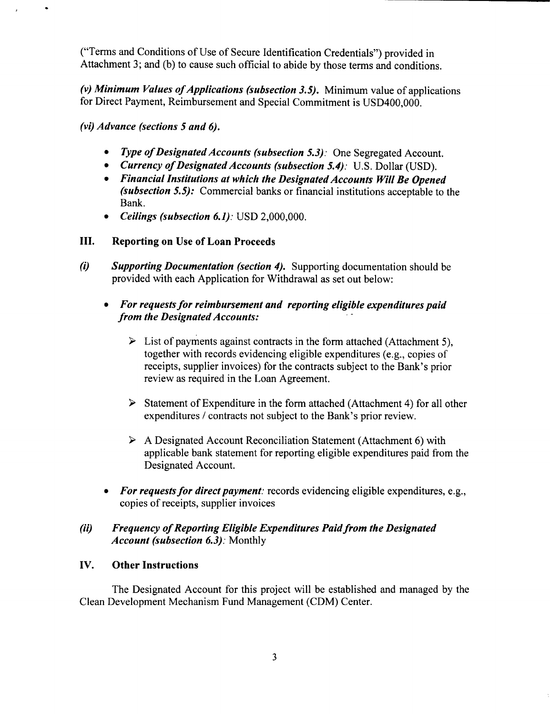("Terms and Conditions of Use of Secure Identification Credentials") provided in Attachment **3;** and **(b)** to cause such official to abide **by** those terms and conditions.

(v) Minimum Values of Applications (subsection 3.5). Minimum value of applications for Direct Payment, Reimbursement and Special Commitment is **USD400,000.**

*(vi) Advance (sections 5 and 6).*

 $\bullet$ 

- *\* Type of Designated Accounts (subsection 5.3).'* One Segregated Account.
- *\* Currency of Designated Accounts (subsection 5.4).'* **U.S.** Dollar **(USD).**
- *\* Financial Institutions at which the Designated Accounts Will Be Opened (subsection 5.5):* Commercial banks or financial institutions acceptable to the Bank.
- *\* Ceilings (subsection 6.1):* **USD** 2,000,000.

# **III. Reporting on Use of Loan Proceeds**

*(i) Supporting Documentation (section 4).* Supporting documentation should be provided with each Application for Withdrawal as set out below:

# *\* For requests for reimbursement and reporting eligible expenditures paid from the Designated Accounts:*

- > List of payments against contracts in the form attached (Attachment **5),** together with records evidencing eligible expenditures (e.g., copies of receipts, supplier invoices) for the contracts subject to the Bank's prior review as required in the Loan Agreement.
- $\triangleright$  Statement of Expenditure in the form attached (Attachment 4) for all other expenditures **/** contracts not subject to the Bank's prior review.
- > **A** Designated Account Reconciliation Statement (Attachment **6)** with applicable bank statement for reporting eligible expenditures paid from the Designated Account.
- *\* For requests for direct payment:* records evidencing eligible expenditures, e.g., copies of receipts, supplier invoices

# *(ii) Frequency of Reporting Eligible Expenditures Paid from the Designated Account (subsection 6.3):* Monthly

# **IV. Other Instructions**

The Designated Account for this project will be established and managed **by** the Clean Development Mechanism Fund Management **(CDM)** Center.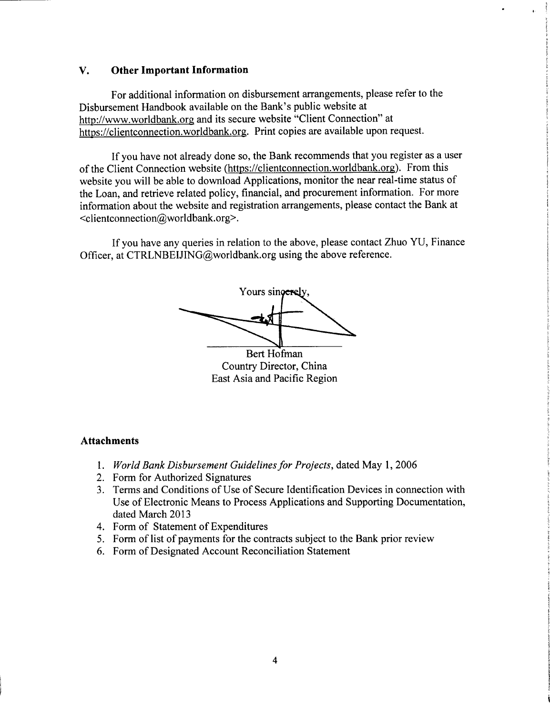#### **V. Other Important Information**

For additional information on disbursement arrangements, please refer to the Disbursement Handbook available on the Bank's public website at http://www.worldbank.ore and its secure website "Client Connection" at https://clientconnection.worldbank.org. Print copies are available upon request.

**If** you have not already done so, the Bank recommends that you register as a user of the Client Connection website (https://clientconnection.worldbank.org). From this website you will be able to download Applications, monitor the near real-time status of the Loan, and retrieve related policy, financial, and procurement information. For more information about the website and registration arrangements, please contact the Bank at <clientconnection@worldbank.org>.

**If** you have any queries in relation to the above, please contact Zhuo **YU,** Finance Officer, at CTRLNBEIJING@worldbank.org using the above reference.

Yours singerely Bert Hofman

Country Director, China East Asia and Pacific Region

#### **Attachments**

- **1.** *World Bank Disbursement Guidelines for Projects,* dated May **1, 2006**
- 2. Form for Authorized Signatures
- **3.** Terms and Conditions of Use of Secure Identification Devices in connection with Use of Electronic Means to Process Applications and Supporting Documentation, dated March **2013**
- 4. Form of Statement of Expenditures
- *5.* Form of list of payments for the contracts subject to the Bank prior review
- **6.** Form of Designated Account Reconciliation Statement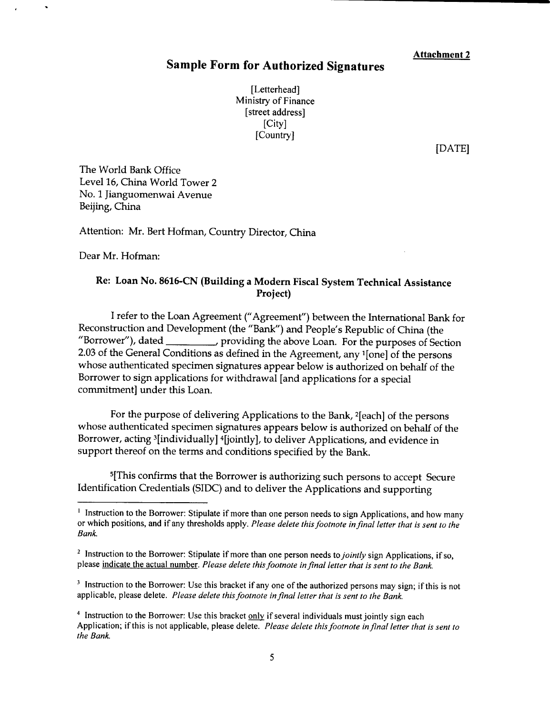## **Sample Form for Authorized Signatures**

[Letterhead] Ministry of Finance [street address] [City] [Country]

**[DATE]**

The World Bank Office Level **16,** China World Tower 2 No. **1** Jianguomenwai Avenue Beijing, China

Attention: Mr. Bert Hofman, Country Director, China

Dear Mr. Hofman:

## **Re: Loan No. 8616-CN (Building a Modem Fiscal System Technical Assistance Project)**

**<sup>I</sup>**refer to the Loan Agreement ("Agreement") between the International Bank for Reconstruction and Development (the "Bank") and People's Republic of China (the "Borrower"), dated providing the above Loan. For the purposes of Section **2.03** of the General Conditions as defined in the Agreement, any '[one] of the persons whose authenticated specimen signatures appear below is authorized on behalf of the Borrower to sign applications for withdrawal [and applications for a special commitment] under this Loan.

For the purpose of delivering Applications to the Bank, 2 [each] of the persons whose authenticated specimen signatures appears below is authorized on behalf of the Borrower, acting <sup>3</sup>[individually] <sup>4</sup>[jointly], to deliver Applications, and evidence in support thereof on the terms and conditions specified **by** the Bank.

5[This confirms that the Borrower is authorizing such persons to accept Secure Identification Credentials **(SIDC)** and to deliver the Applications and supporting

<sup>&</sup>lt;sup>1</sup> Instruction to the Borrower: Stipulate if more than one person needs to sign Applications, and how many or which positions, and if any thresholds apply. *Please delete this footnote in final letter that is sent to the* Bank.

<sup>&</sup>lt;sup>2</sup> Instruction to the Borrower: Stipulate if more than one person needs to *jointly* sign Applications, if so, please indicate the actual number. Please delete this footnote in final letter that is sent to the Bank.

<sup>&</sup>lt;sup>3</sup> Instruction to the Borrower: Use this bracket if any one of the authorized persons may sign; if this is not applicable, please delete. *Please delete this footnote in final letter that is sent to the Bank.*

<sup>&</sup>lt;sup>4</sup> Instruction to the Borrower: Use this bracket  $only$  if several individuals must jointly sign each</u> Application; if this is not applicable, please delete. *Please delete this footnote in final letter that is sent to the Bank.*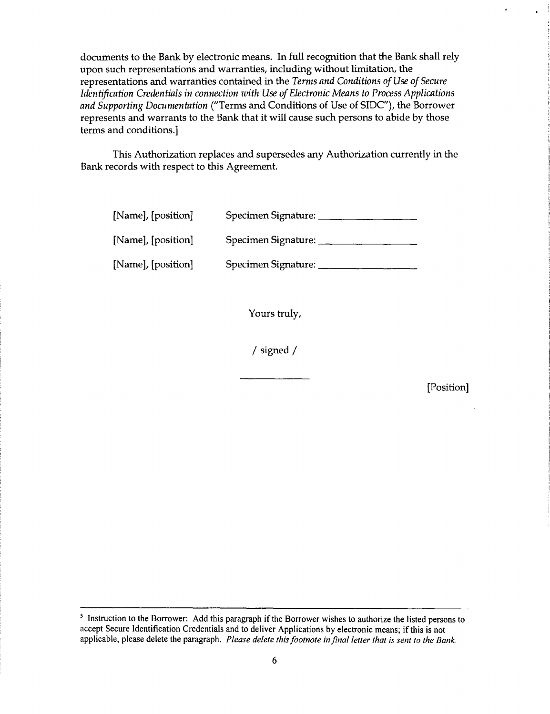documents to the Bank **by** electronic means. In full recognition that the Bank shall rely upon such representations and warranties, including without limitation, the representations and warranties contained in the *Terms and Conditions of Use of Secure Identification Credentials in connection with Use of Electronic Means to Process Applications and Supporting Documentation* ("Terms and Conditions of Use of **SIDC"),** the Borrower represents and warrants to the Bank that it will cause such persons to abide **by** those terms and conditions.]

This Authorization replaces and supersedes any Authorization currently in the Bank records with respect to this Agreement.

| [Name], [position] | Specimen Signature: |
|--------------------|---------------------|
| [Name], [position] | Specimen Signature: |
| [Name], [position] | Specimen Signature: |

Yours truly,

/ signed /

[Position]

**<sup>5</sup>** Instruction to the Borrower: **Add** this paragraph if the Borrower wishes to authorize the listed persons to accept Secure Identification Credentials and to deliver Applications **by** electronic means; if this is not applicable, please delete the paragraph. *Please delete this footnote in final letter that is sent to the Bank.*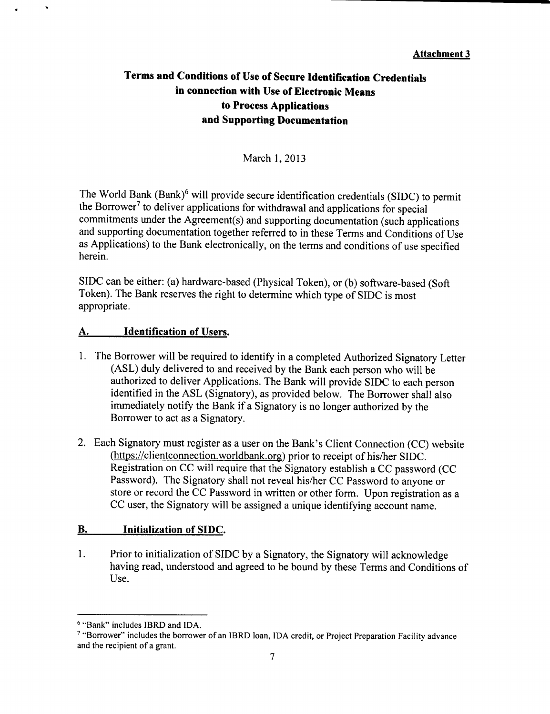# **Terms and Conditions of Use of Secure Identification Credentials in connection with Use of Electronic Means to Process Applications and Supporting Documentation**

March **1, 2013**

The World Bank  $(Bank)^6$  will provide secure identification credentials (SIDC) to permit<br>the Borrower<sup>7</sup> to deliver applications for withdrawal and applications for special<br>commitments under the Agreement(s) and supporting d as Applications) to the Bank electronically, on the terms and conditions of use specified herein.

**SIDC** can be either: (a) hardware-based (Physical Token), or **(b)** software-based (Soft Token). The Bank reserves the right to determine which type of **SIDC** is most appropriate.

## **A.** Identification of Users.

- **1.** The Borrower will be required to identify in a completed Authorized Signatory Letter **(ASL)** duly delivered to and received **by** the Bank each person who will be authorized to deliver Applications. The Bank will provide **SIDC** to each person identified in the **ASL** (Signatory), as provided below. The Borrower shall also immediately notify the Bank if a Signatory is no longer authorized **by** the Borrower to act as a Signatory.
- 2. Each Signatory must register as a user on the Bank's Client Connection **(CC)** website (https://clientconnection.worldbank.org) prior to receipt of his/her **SIDC.** Registration on **CC** will require that the Signatory establish a **CC** password **(CC** Password). The Signatory shall not reveal his/her **CC** Password to anyone or store or record the **CC** Password in written or other form. Upon registration as a **CC** user, the Signatory will be assigned a unique identifying account name.

## B. Initialization of **SIDC.**

1. Prior to initialization of **SIDC by** a Signatory, the Signatory will acknowledge having read, understood and agreed to be bound **by** these Terms and Conditions of Use.

**<sup>6</sup>**"Bank" includes IBRD and **IDA.**

**<sup>7</sup>**"Borrower" includes the borrower of an IBRD loan, **IDA** credit, or Project Preparation Facility advance and the recipient of a grant.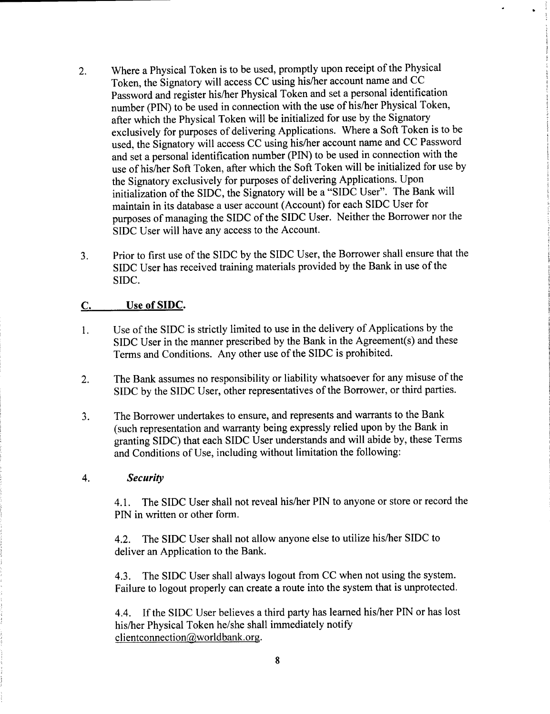- 2. Where a Physical Token is to be used, promptly upon receipt of the Physical Token, the Signatory will access **CC** using his/her account name and **CC** Password and register his/her Physical Token and set a personal identification number **(PIN)** to be used in connection with the use of his/her Physical Token, after which the Physical Token will be initialized for use **by** the Signatory exclusively for purposes of delivering Applications. Where a Soft Token is to be used, the Signatory will access **CC** using his/her account name and **CC** Password and set a personal identification number (PIN) to be used in connection with the use of his/her Soft Token, after which the Soft Token will be initialized for use **by** the Signatory exclusively for purposes of delivering Applications. Upon initialization of the **SIDC,** the Signatory will be a **"SIDC** User". The Bank will maintain in its database a user account (Account) for each **SIDC** User for purposes of managing the SIDC of the **SIDC** User. Neither the Borrower nor the **SIDC** User will have any access to the Account.
- **3.** Prior to first use of the **SIDC by** the **SIDC** User, the Borrower shall ensure that the **SIDC** User has received training materials provided **by** the Bank in use of the **SIDC.**

### **C.** Use **of SIDC.**

- Use of the **SIDC** is strictly limited to use in the delivery of Applications **by** the 1. **SIDC** User in the manner prescribed **by** the Bank in the Agreement(s) and these Terms and Conditions. Any other use of the **SIDC** is prohibited.
- 2. The Bank assumes no responsibility or liability whatsoever for any misuse of the **SIDC by** the **SIDC** User, other representatives of the Borrower, or third parties.
- **3.** The Borrower undertakes to ensure, and represents and warrants to the Bank (such representation and warranty being expressly relied upon **by** the Bank in granting SIDC) that each **SIDC** User understands and will abide **by,** these Terms and Conditions of Use, including without limitation the following:

#### 4. *Security*

4.1. The SIDC User shall not reveal his/her **PIN** to anyone or store or record the **PIN** in written or other form.

4.2. The **SIDC** User shall not allow anyone else to utilize his/her **SIDC** to deliver an Application to the Bank.

4.3. The SIDC User shall always logout from **CC** when not using the system. Failure to logout properly can create a route into the system that is unprotected.

4.4. **If** the **SIDC** User believes a third party has learned his/her **PIN** or has lost his/her Physical Token he/she shall immediately notify clientconnection $@$ worldbank.org.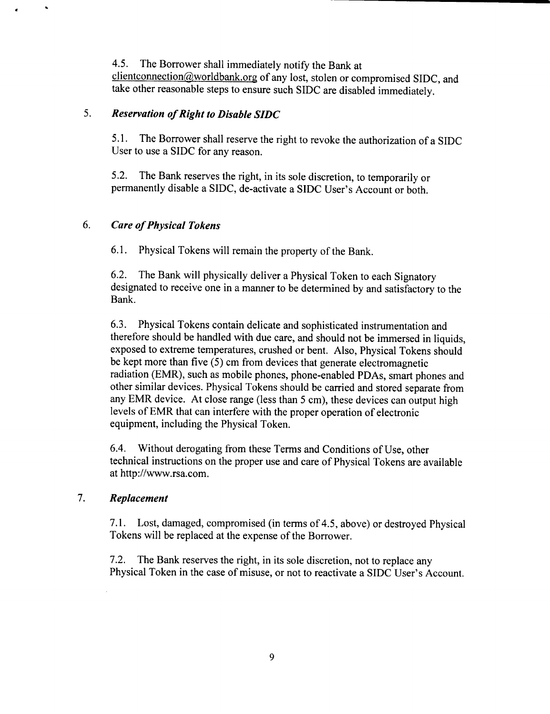*4.5.* The Borrower shall immediately notify the Bank at clientconnection@worldbank.org of any lost, stolen or compromised SIDC, and take other reasonable steps to ensure such **SIDC** are disabled immediately.

## **5.** *Reservation of Right to Disable SIDC*

*5.1.* The Borrower shall reserve the right to revoke the authorization of a **SIDC** User to use a **SIDC** for any reason.

**5.2.** The Bank reserves the right, in its sole discretion, to temporarily or permanently disable a **SIDC,** de-activate a **SIDC** User's Account or both.

# *6. Care of Physical Tokens*

 $\ddot{\phantom{a}}$ 

**6.1.** Physical Tokens will remain the property of the Bank.

**6.2.** The Bank will physically deliver a Physical Token to each Signatory designated to receive one in a manner to be determined **by** and satisfactory to the Bank.

**6.3.** Physical Tokens contain delicate and sophisticated instrumentation and exposed to extreme temperatures, crushed or bent. Also, Physical Tokens should be kept more than five **(5)** cm from devices that generate electromagnetic radiation (EMR), such as mobile phones, phone-enabled PDAs, smart phones and other similar devices. Physical Tokens should be carried and stored separate from<br>any EMR device. At close range (less than 5 cm), these devices can output high levels of EMR that can interfere with the proper operation of electronic equipment, including the Physical Token.

6.4. Without derogating from these Terms and Conditions of Use, other technical instructions on the proper use and care of Physical Tokens are available at http://www.rsa.com.

# **7.** *Replacement*

**7.1.** Lost, damaged, compromised (in terms of 4.5, above) or destroyed Physical Tokens will be replaced at the expense of the Borrower.

**7.2.** The Bank reserves the right, in its sole discretion, not to replace any Physical Token in the case of misuse, or not to reactivate a **SIDC** User's Account.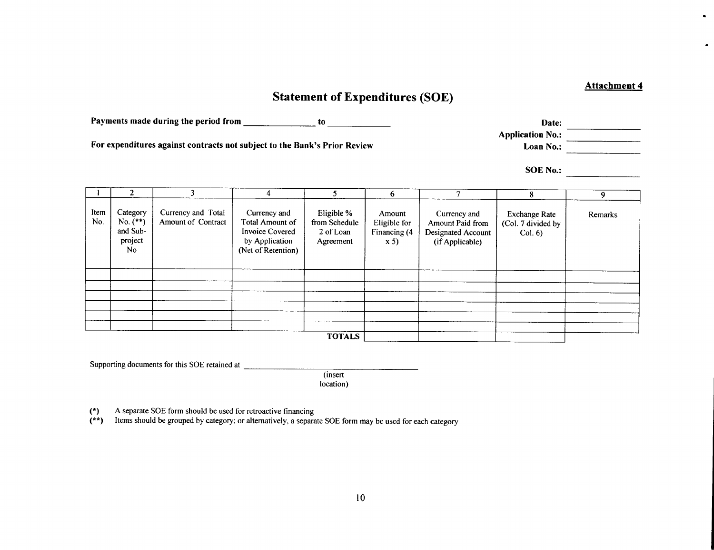# **Statement of Expenditures (SOE)**

Payments made during the period from <u>the contract of the contract of the contract of the contract of the contract of the contract of the contract of the contract of the contract of the contract of the contract of the cont</u>

For expenditures against contracts not subject to the Bank's Prior Review

**1 2 3** 4 **5 6 7 8 9** The Category Currency and Total Currency and Eligible % Amount Currency and Eligible % Amount Paid from Schedule and Sub-<br>
No. (\*\*) Amount of Contract Total Amount of Contract Total Amount of Schedule Invoice Covered and S **TOTALS1**

Supporting documents for this **SOE** retained at

(insert location)

(\*) **A** separate **SOE** form should **be** used for retroactive financing

(\*\*) Items should be grouped **by** category; or alternatively, a separate **SOE** form may be used for each category

**Attachment 4**

 $\blacksquare$ 

 $\bullet$ 

Application No.: **Loan No.:** 

**SOE No.:**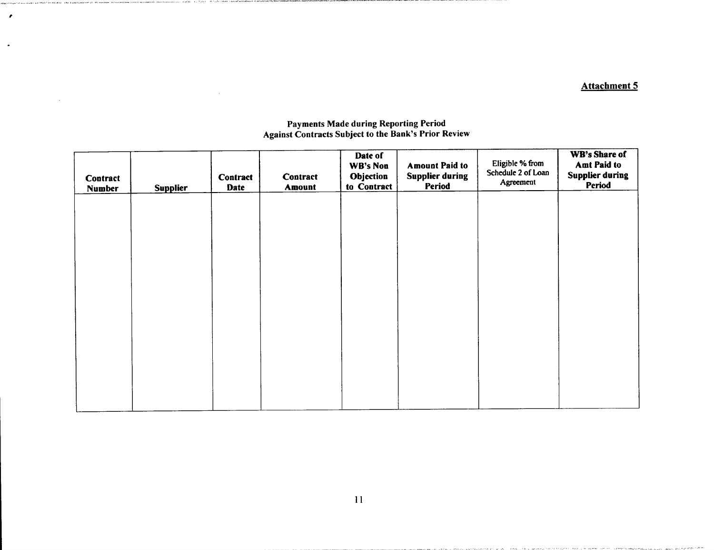## Attachment **5**

| Contract<br>Number | <b>Supplier</b> | <b>Contract</b><br>Date | <b>Contract</b><br><b>Amount</b> | Date of<br>WB's Non<br>Objection<br>to Contract | <b>Amount Paid to</b><br><b>Supplier during</b><br>Period | Eligible % from<br>Schedule 2 of Loan<br>Agreement | WB's Share of<br><b>Amt Paid to</b><br><b>Supplier during</b><br>Period |
|--------------------|-----------------|-------------------------|----------------------------------|-------------------------------------------------|-----------------------------------------------------------|----------------------------------------------------|-------------------------------------------------------------------------|
|                    |                 |                         |                                  |                                                 |                                                           |                                                    |                                                                         |
|                    |                 |                         |                                  |                                                 |                                                           |                                                    |                                                                         |
|                    |                 |                         |                                  |                                                 |                                                           |                                                    |                                                                         |
|                    |                 |                         |                                  |                                                 |                                                           |                                                    |                                                                         |
|                    |                 |                         |                                  |                                                 |                                                           |                                                    |                                                                         |

#### Payments Made during Reporting Period Against Contracts Subject to the Bank's Prior Review

 $\pmb{r}$ 

 $\bullet$